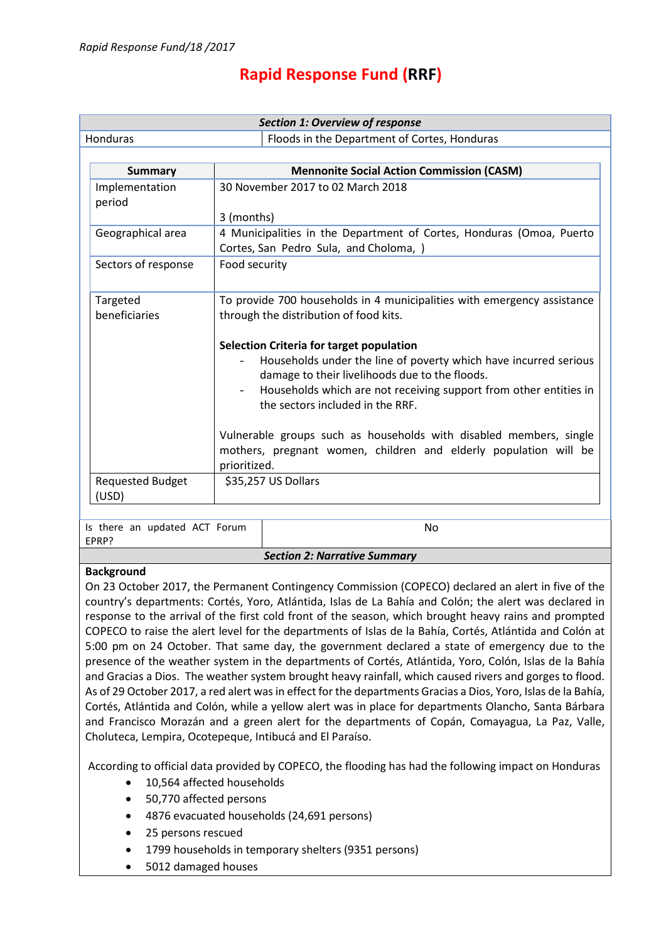### **Rapid Response Fund (RRF)**

| <b>Section 1: Overview of response</b>                                                                 |                                                                         |                                                                                                                                                                                                                                                                                                                                                                                                                                                                                                                                                                  |  |  |  |
|--------------------------------------------------------------------------------------------------------|-------------------------------------------------------------------------|------------------------------------------------------------------------------------------------------------------------------------------------------------------------------------------------------------------------------------------------------------------------------------------------------------------------------------------------------------------------------------------------------------------------------------------------------------------------------------------------------------------------------------------------------------------|--|--|--|
| Honduras                                                                                               | Floods in the Department of Cortes, Honduras                            |                                                                                                                                                                                                                                                                                                                                                                                                                                                                                                                                                                  |  |  |  |
|                                                                                                        |                                                                         |                                                                                                                                                                                                                                                                                                                                                                                                                                                                                                                                                                  |  |  |  |
| <b>Summary</b>                                                                                         | <b>Mennonite Social Action Commission (CASM)</b>                        |                                                                                                                                                                                                                                                                                                                                                                                                                                                                                                                                                                  |  |  |  |
| Implementation                                                                                         | 30 November 2017 to 02 March 2018                                       |                                                                                                                                                                                                                                                                                                                                                                                                                                                                                                                                                                  |  |  |  |
| period                                                                                                 |                                                                         |                                                                                                                                                                                                                                                                                                                                                                                                                                                                                                                                                                  |  |  |  |
|                                                                                                        |                                                                         |                                                                                                                                                                                                                                                                                                                                                                                                                                                                                                                                                                  |  |  |  |
| Geographical area                                                                                      |                                                                         | 4 Municipalities in the Department of Cortes, Honduras (Omoa, Puerto                                                                                                                                                                                                                                                                                                                                                                                                                                                                                             |  |  |  |
|                                                                                                        |                                                                         |                                                                                                                                                                                                                                                                                                                                                                                                                                                                                                                                                                  |  |  |  |
|                                                                                                        |                                                                         |                                                                                                                                                                                                                                                                                                                                                                                                                                                                                                                                                                  |  |  |  |
|                                                                                                        |                                                                         |                                                                                                                                                                                                                                                                                                                                                                                                                                                                                                                                                                  |  |  |  |
| Targeted                                                                                               | To provide 700 households in 4 municipalities with emergency assistance |                                                                                                                                                                                                                                                                                                                                                                                                                                                                                                                                                                  |  |  |  |
| beneficiaries                                                                                          | through the distribution of food kits.                                  |                                                                                                                                                                                                                                                                                                                                                                                                                                                                                                                                                                  |  |  |  |
|                                                                                                        |                                                                         |                                                                                                                                                                                                                                                                                                                                                                                                                                                                                                                                                                  |  |  |  |
|                                                                                                        | Selection Criteria for target population                                |                                                                                                                                                                                                                                                                                                                                                                                                                                                                                                                                                                  |  |  |  |
|                                                                                                        | Households under the line of poverty which have incurred serious        |                                                                                                                                                                                                                                                                                                                                                                                                                                                                                                                                                                  |  |  |  |
|                                                                                                        |                                                                         |                                                                                                                                                                                                                                                                                                                                                                                                                                                                                                                                                                  |  |  |  |
|                                                                                                        |                                                                         |                                                                                                                                                                                                                                                                                                                                                                                                                                                                                                                                                                  |  |  |  |
|                                                                                                        |                                                                         |                                                                                                                                                                                                                                                                                                                                                                                                                                                                                                                                                                  |  |  |  |
|                                                                                                        |                                                                         |                                                                                                                                                                                                                                                                                                                                                                                                                                                                                                                                                                  |  |  |  |
|                                                                                                        |                                                                         |                                                                                                                                                                                                                                                                                                                                                                                                                                                                                                                                                                  |  |  |  |
|                                                                                                        | prioritized.                                                            |                                                                                                                                                                                                                                                                                                                                                                                                                                                                                                                                                                  |  |  |  |
|                                                                                                        | \$35,257 US Dollars                                                     |                                                                                                                                                                                                                                                                                                                                                                                                                                                                                                                                                                  |  |  |  |
| (USD)                                                                                                  |                                                                         |                                                                                                                                                                                                                                                                                                                                                                                                                                                                                                                                                                  |  |  |  |
|                                                                                                        |                                                                         |                                                                                                                                                                                                                                                                                                                                                                                                                                                                                                                                                                  |  |  |  |
| Is there an updated ACT Forum                                                                          |                                                                         | No                                                                                                                                                                                                                                                                                                                                                                                                                                                                                                                                                               |  |  |  |
| EPRP?                                                                                                  |                                                                         |                                                                                                                                                                                                                                                                                                                                                                                                                                                                                                                                                                  |  |  |  |
| <b>Section 2: Narrative Summary</b>                                                                    |                                                                         |                                                                                                                                                                                                                                                                                                                                                                                                                                                                                                                                                                  |  |  |  |
|                                                                                                        |                                                                         |                                                                                                                                                                                                                                                                                                                                                                                                                                                                                                                                                                  |  |  |  |
| On 23 October 2017, the Permanent Contingency Commission (COPECO) declared an alert in five of the     |                                                                         |                                                                                                                                                                                                                                                                                                                                                                                                                                                                                                                                                                  |  |  |  |
| country's departments: Cortés, Yoro, Atlántida, Islas de La Bahía and Colón; the alert was declared in |                                                                         |                                                                                                                                                                                                                                                                                                                                                                                                                                                                                                                                                                  |  |  |  |
|                                                                                                        |                                                                         |                                                                                                                                                                                                                                                                                                                                                                                                                                                                                                                                                                  |  |  |  |
| Sectors of response<br><b>Requested Budget</b><br><b>Background</b>                                    | 3 (months)<br>Food security                                             | Cortes, San Pedro Sula, and Choloma, )<br>damage to their livelihoods due to the floods.<br>Households which are not receiving support from other entities in<br>the sectors included in the RRF.<br>Vulnerable groups such as households with disabled members, single<br>mothers, pregnant women, children and elderly population will be<br>response to the arrival of the first cold front of the season, which brought heavy rains and prompted<br>COPECO to raise the alert level for the departments of Islas de la Bahía. Cortés. Atlántida and Colón at |  |  |  |

COPECO to raise the alert level for the departments of Islas de la Bahía, Cortés, Atlántida and Colón at 5:00 pm on 24 October. That same day, the government declared a state of emergency due to the presence of the weather system in the departments of Cortés, Atlántida, Yoro, Colón, Islas de la Bahía and Gracias a Dios. The weather system brought heavy rainfall, which caused rivers and gorges to flood. As of 29 October 2017, a red alert was in effect for the departments Gracias a Dios, Yoro, Islas de la Bahía, Cortés, Atlántida and Colón, while a yellow alert was in place for departments Olancho, Santa Bárbara and Francisco Morazán and a green alert for the departments of Copán, Comayagua, La Paz, Valle, Choluteca, Lempira, Ocotepeque, Intibucá and El Paraíso.

According to official data provided by COPECO, the flooding has had the following impact on Honduras

- 10,564 affected households
- 50,770 affected persons
- 4876 evacuated households (24,691 persons)
- 25 persons rescued
- 1799 households in temporary shelters (9351 persons)
- 5012 damaged houses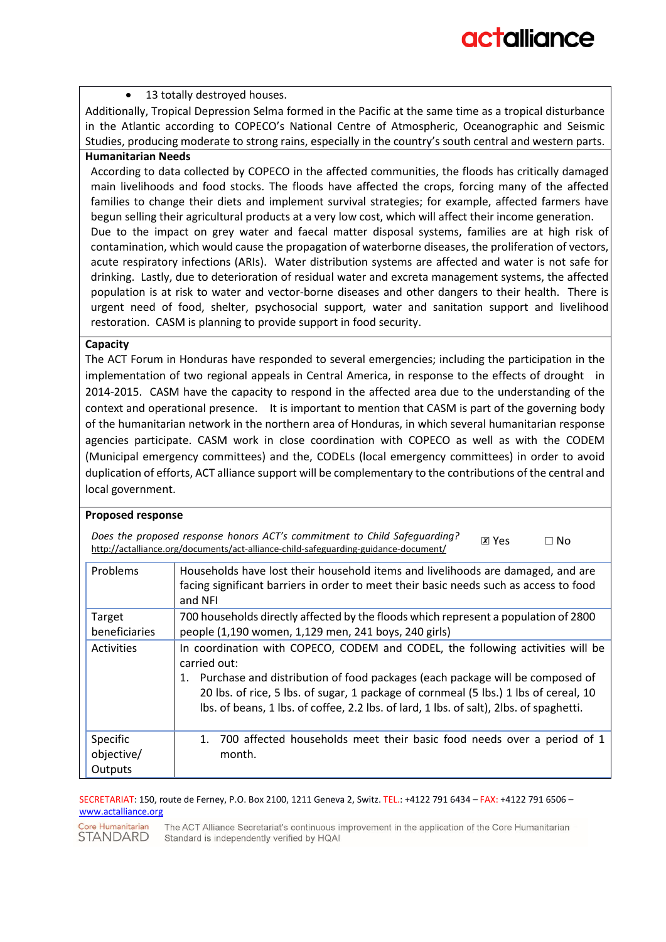#### 13 totally destroyed houses.

Additionally, Tropical Depression Selma formed in the Pacific at the same time as a tropical disturbance in the Atlantic according to COPECO's National Centre of Atmospheric, Oceanographic and Seismic Studies, producing moderate to strong rains, especially in the country's south central and western parts.

#### **Humanitarian Needs**

According to data collected by COPECO in the affected communities, the floods has critically damaged main livelihoods and food stocks. The floods have affected the crops, forcing many of the affected families to change their diets and implement survival strategies; for example, affected farmers have begun selling their agricultural products at a very low cost, which will affect their income generation. Due to the impact on grey water and faecal matter disposal systems, families are at high risk of

contamination, which would cause the propagation of waterborne diseases, the proliferation of vectors, acute respiratory infections (ARIs). Water distribution systems are affected and water is not safe for drinking. Lastly, due to deterioration of residual water and excreta management systems, the affected population is at risk to water and vector-borne diseases and other dangers to their health. There is urgent need of food, shelter, psychosocial support, water and sanitation support and livelihood restoration. CASM is planning to provide support in food security.

#### **Capacity**

The ACT Forum in Honduras have responded to several emergencies; including the participation in the implementation of two regional appeals in Central America, in response to the effects of drought in 2014-2015. CASM have the capacity to respond in the affected area due to the understanding of the context and operational presence. It is important to mention that CASM is part of the governing body of the humanitarian network in the northern area of Honduras, in which several humanitarian response agencies participate. CASM work in close coordination with COPECO as well as with the CODEM (Municipal emergency committees) and the, CODELs (local emergency committees) in order to avoid duplication of efforts, ACT alliance support will be complementary to the contributions of the central and local government.

#### **Proposed response**

| Does the proposed response honors ACT's commitment to Child Safeguarding?           | $X$ Yes | $\Box$ No |
|-------------------------------------------------------------------------------------|---------|-----------|
| http://actalliance.org/documents/act-alliance-child-safeguarding-guidance-document/ |         |           |

| Problems                          | Households have lost their household items and livelihoods are damaged, and are<br>facing significant barriers in order to meet their basic needs such as access to food<br>and NFI                                                                                                                                                                                     |
|-----------------------------------|-------------------------------------------------------------------------------------------------------------------------------------------------------------------------------------------------------------------------------------------------------------------------------------------------------------------------------------------------------------------------|
| Target<br>beneficiaries           | 700 households directly affected by the floods which represent a population of 2800<br>people (1,190 women, 1,129 men, 241 boys, 240 girls)                                                                                                                                                                                                                             |
|                                   |                                                                                                                                                                                                                                                                                                                                                                         |
| Activities                        | In coordination with COPECO, CODEM and CODEL, the following activities will be<br>carried out:<br>Purchase and distribution of food packages (each package will be composed of<br>1.<br>20 lbs. of rice, 5 lbs. of sugar, 1 package of cornmeal (5 lbs.) 1 lbs of cereal, 10<br>Ibs. of beans, 1 lbs. of coffee, 2.2 lbs. of lard, 1 lbs. of salt), 2lbs. of spaghetti. |
| Specific<br>objective/<br>Outputs | 700 affected households meet their basic food needs over a period of 1<br>$1_{-}$<br>month.                                                                                                                                                                                                                                                                             |

#### SECRETARIAT: 150, route de Ferney, P.O. Box 2100, 1211 Geneva 2, Switz. TEL.: +4122 791 6434 – FAX: +4122 791 6506 – [www.actalliance.org](http://www.actalliance.org/)

Core Humanitarian The ACT Alliance Secretariat's continuous improvement in the application of the Core Humanitarian **STANDARD** Standard is independently verified by HQAI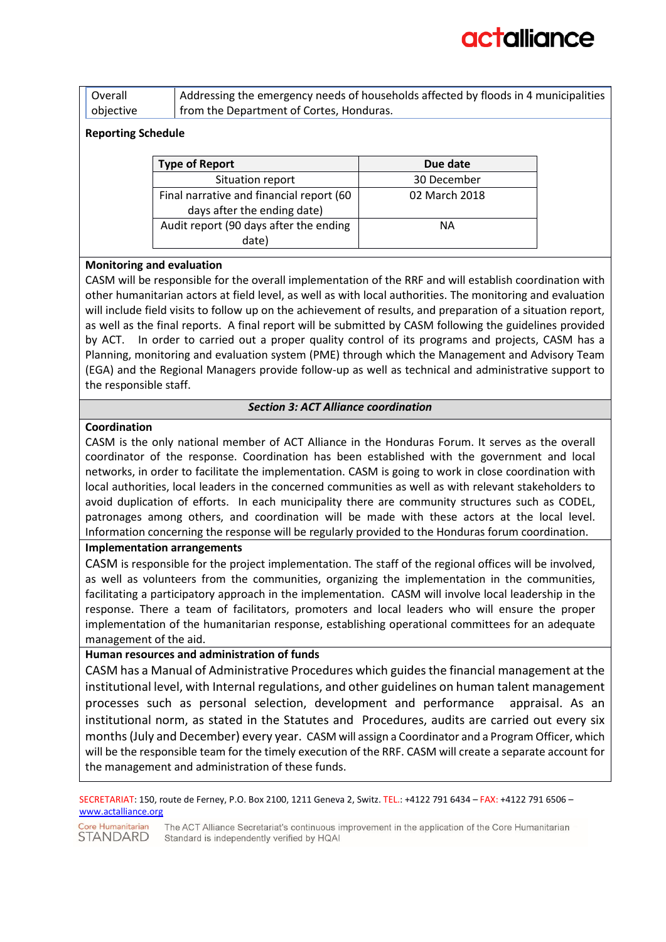# actallianc

| Overall   | Addressing the emergency needs of households affected by floods in 4 municipalities |
|-----------|-------------------------------------------------------------------------------------|
| objective | from the Department of Cortes, Honduras.                                            |

#### **Reporting Schedule**

| <b>Type of Report</b>                    | Due date      |
|------------------------------------------|---------------|
| Situation report                         | 30 December   |
| Final narrative and financial report (60 | 02 March 2018 |
| days after the ending date)              |               |
| Audit report (90 days after the ending   | ΝA            |
| date)                                    |               |

#### **Monitoring and evaluation**

CASM will be responsible for the overall implementation of the RRF and will establish coordination with other humanitarian actors at field level, as well as with local authorities. The monitoring and evaluation will include field visits to follow up on the achievement of results, and preparation of a situation report, as well as the final reports. A final report will be submitted by CASM following the guidelines provided by ACT. In order to carried out a proper quality control of its programs and projects, CASM has a Planning, monitoring and evaluation system (PME) through which the Management and Advisory Team (EGA) and the Regional Managers provide follow-up as well as technical and administrative support to the responsible staff.

#### *Section 3: ACT Alliance coordination*

#### **Coordination**

CASM is the only national member of ACT Alliance in the Honduras Forum. It serves as the overall coordinator of the response. Coordination has been established with the government and local networks, in order to facilitate the implementation. CASM is going to work in close coordination with local authorities, local leaders in the concerned communities as well as with relevant stakeholders to avoid duplication of efforts. In each municipality there are community structures such as CODEL, patronages among others, and coordination will be made with these actors at the local level. Information concerning the response will be regularly provided to the Honduras forum coordination.

#### **Implementation arrangements**

CASM is responsible for the project implementation. The staff of the regional offices will be involved, as well as volunteers from the communities, organizing the implementation in the communities, facilitating a participatory approach in the implementation. CASM will involve local leadership in the response. There a team of facilitators, promoters and local leaders who will ensure the proper implementation of the humanitarian response, establishing operational committees for an adequate management of the aid.

#### **Human resources and administration of funds**

CASM has a Manual of Administrative Procedures which guides the financial management at the institutional level, with Internal regulations, and other guidelines on human talent management processes such as personal selection, development and performance appraisal. As an institutional norm, as stated in the Statutes and Procedures, audits are carried out every six months (July and December) every year. CASM will assign a Coordinator and a Program Officer, which will be the responsible team for the timely execution of the RRF. CASM will create a separate account for the management and administration of these funds.

SECRETARIAT: 150, route de Ferney, P.O. Box 2100, 1211 Geneva 2, Switz. TEL.: +4122 791 6434 – FAX: +4122 791 6506 – [www.actalliance.org](http://www.actalliance.org/)

Core Humanitarian The ACT Alliance Secretariat's continuous improvement in the application of the Core Humanitarian **STANDARD** Standard is independently verified by HQAI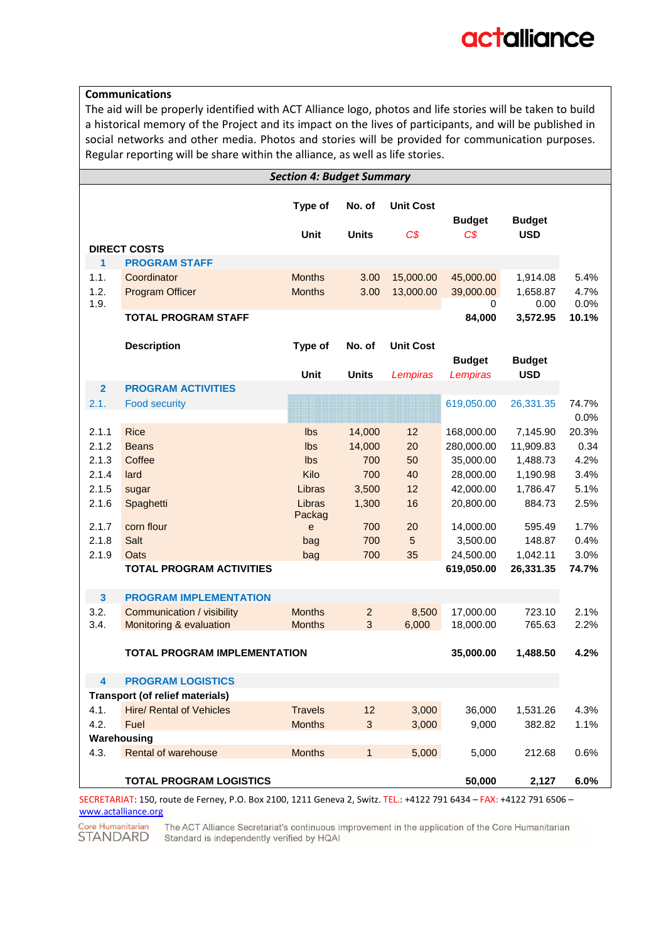#### **Communications**

The aid will be properly identified with ACT Alliance logo, photos and life stories will be taken to build a historical memory of the Project and its impact on the lives of participants, and will be published in social networks and other media. Photos and stories will be provided for communication purposes. Regular reporting will be share within the alliance, as well as life stories.

|                         |                                        | <b>Section 4: Budget Summary</b> |                |                  |                |                  |               |
|-------------------------|----------------------------------------|----------------------------------|----------------|------------------|----------------|------------------|---------------|
|                         |                                        | Type of                          | No. of         | <b>Unit Cost</b> | <b>Budget</b>  | <b>Budget</b>    |               |
|                         |                                        | <b>Unit</b>                      | <b>Units</b>   | $C\$             | C <sub>S</sub> | <b>USD</b>       |               |
|                         | <b>DIRECT COSTS</b>                    |                                  |                |                  |                |                  |               |
| 1                       | <b>PROGRAM STAFF</b>                   |                                  |                |                  |                |                  |               |
| 1.1.                    | Coordinator                            | <b>Months</b>                    | 3.00           | 15,000.00        | 45,000.00      | 1,914.08         | 5.4%          |
| 1.2.                    | <b>Program Officer</b>                 | <b>Months</b>                    | 3.00           | 13,000.00        | 39,000.00      | 1,658.87         | 4.7%          |
| 1.9.                    | <b>TOTAL PROGRAM STAFF</b>             |                                  |                |                  | 0<br>84,000    | 0.00<br>3,572.95 | 0.0%<br>10.1% |
|                         |                                        |                                  |                |                  |                |                  |               |
|                         | <b>Description</b>                     | Type of                          | No. of         | <b>Unit Cost</b> |                |                  |               |
|                         |                                        |                                  |                |                  | <b>Budget</b>  | <b>Budget</b>    |               |
|                         |                                        | <b>Unit</b>                      | <b>Units</b>   | Lempiras         | Lempiras       | <b>USD</b>       |               |
| $\overline{2}$          | <b>PROGRAM ACTIVITIES</b>              |                                  |                |                  |                |                  |               |
| 2.1.                    | <b>Food security</b>                   |                                  |                |                  | 619,050.00     | 26,331.35        | 74.7%         |
|                         |                                        |                                  |                |                  |                |                  | 0.0%          |
| 2.1.1                   | <b>Rice</b>                            | Ibs                              | 14,000         | 12               | 168,000.00     | 7,145.90         | 20.3%         |
| 2.1.2                   | <b>Beans</b>                           | Ibs                              | 14,000         | 20               | 280,000.00     | 11,909.83        | 0.34          |
| 2.1.3                   | Coffee                                 | Ibs                              | 700            | 50               | 35,000.00      | 1,488.73         | 4.2%          |
| 2.1.4                   | lard                                   | Kilo                             | 700            | 40               | 28,000.00      | 1,190.98         | 3.4%          |
| 2.1.5                   | sugar                                  | Libras                           | 3,500          | 12               | 42,000.00      | 1,786.47         | 5.1%          |
| 2.1.6                   | Spaghetti                              | Libras                           | 1,300          | 16               | 20,800.00      | 884.73           | 2.5%          |
| 2.1.7                   | corn flour                             | Packag<br>e                      | 700            | 20               | 14,000.00      | 595.49           | 1.7%          |
| 2.1.8                   | Salt                                   | bag                              | 700            | $\overline{5}$   | 3,500.00       | 148.87           | 0.4%          |
| 2.1.9                   | Oats                                   | bag                              | 700            | 35               | 24,500.00      | 1,042.11         | 3.0%          |
|                         | <b>TOTAL PROGRAM ACTIVITIES</b>        |                                  |                |                  | 619,050.00     | 26,331.35        | 74.7%         |
|                         |                                        |                                  |                |                  |                |                  |               |
| $\mathbf{3}$            | <b>PROGRAM IMPLEMENTATION</b>          |                                  |                |                  |                |                  |               |
| 3.2.                    | Communication / visibility             | <b>Months</b>                    | $\overline{2}$ | 8,500            | 17,000.00      | 723.10           | 2.1%          |
| 3.4.                    | Monitoring & evaluation                | <b>Months</b>                    | 3              | 6,000            | 18,000.00      | 765.63           | 2.2%          |
|                         |                                        |                                  |                |                  |                |                  |               |
|                         | <b>TOTAL PROGRAM IMPLEMENTATION</b>    |                                  |                |                  | 35,000.00      | 1,488.50         | 4.2%          |
| $\overline{\mathbf{4}}$ | <b>PROGRAM LOGISTICS</b>               |                                  |                |                  |                |                  |               |
|                         | <b>Transport (of relief materials)</b> |                                  |                |                  |                |                  |               |
| 4.1.                    | <b>Hire/ Rental of Vehicles</b>        | <b>Travels</b>                   | 12             | 3,000            | 36,000         | 1,531.26         | 4.3%          |
| 4.2.                    | Fuel                                   | <b>Months</b>                    | 3              | 3,000            | 9,000          | 382.82           | 1.1%          |
|                         | Warehousing                            |                                  |                |                  |                |                  |               |
| 4.3.                    | <b>Rental of warehouse</b>             | <b>Months</b>                    | $\mathbf{1}$   | 5,000            | 5,000          | 212.68           | 0.6%          |
|                         |                                        |                                  |                |                  |                |                  |               |
|                         | <b>TOTAL PROGRAM LOGISTICS</b>         |                                  |                |                  | 50,000         | 2,127            | 6.0%          |

SECRETARIAT: 150, route de Ferney, P.O. Box 2100, 1211 Geneva 2, Switz. TEL.: +4122 791 6434 – FAX: +4122 791 6506 – [www.actalliance.org](http://www.actalliance.org/)

Core Humanitarian STANDARD

The ACT Alliance Secretariat's continuous improvement in the application of the Core Humanitarian Standard is independently verified by HQAI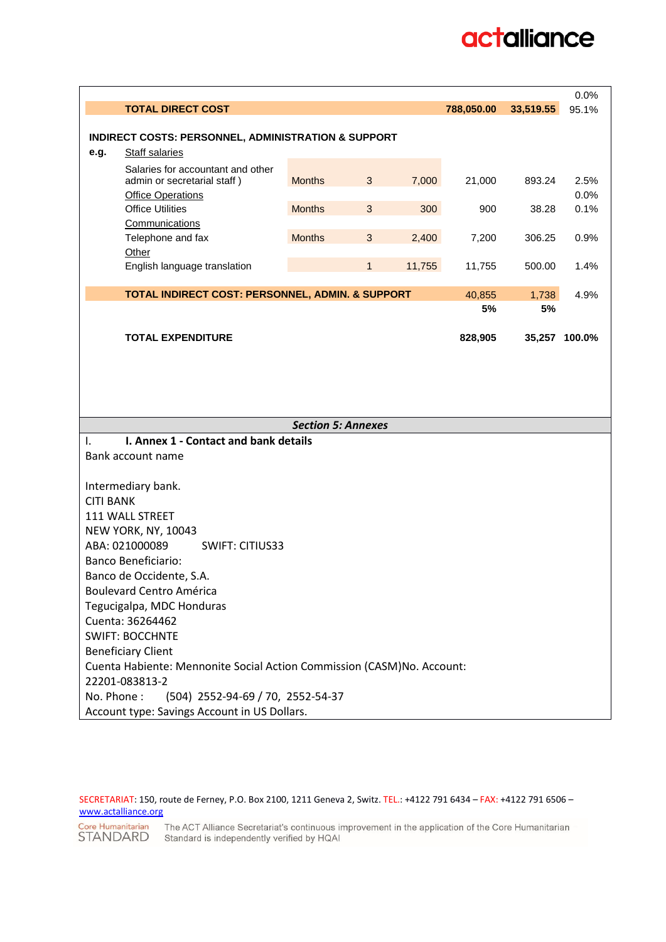# actalliance

|                           |                                                                        |                           |              |        |            |               | 0.0%         |  |  |
|---------------------------|------------------------------------------------------------------------|---------------------------|--------------|--------|------------|---------------|--------------|--|--|
|                           | <b>TOTAL DIRECT COST</b>                                               |                           |              |        | 788,050.00 | 33,519.55     | 95.1%        |  |  |
|                           |                                                                        |                           |              |        |            |               |              |  |  |
|                           | <b>INDIRECT COSTS: PERSONNEL, ADMINISTRATION &amp; SUPPORT</b>         |                           |              |        |            |               |              |  |  |
| e.g.                      | Staff salaries                                                         |                           |              |        |            |               |              |  |  |
|                           | Salaries for accountant and other                                      |                           |              |        |            |               |              |  |  |
|                           | admin or secretarial staff)                                            | <b>Months</b>             | 3            | 7,000  | 21,000     | 893.24        | 2.5%         |  |  |
|                           | <b>Office Operations</b><br><b>Office Utilities</b>                    | <b>Months</b>             | $\mathbf{3}$ | 300    |            |               | 0.0%<br>0.1% |  |  |
|                           | Communications                                                         |                           |              |        | 900        | 38.28         |              |  |  |
|                           | Telephone and fax                                                      | <b>Months</b>             | $\mathbf{3}$ | 2,400  | 7,200      | 306.25        | 0.9%         |  |  |
|                           | Other                                                                  |                           |              |        |            |               |              |  |  |
|                           | English language translation                                           |                           | $\mathbf{1}$ | 11,755 | 11,755     | 500.00        | 1.4%         |  |  |
|                           |                                                                        |                           |              |        |            |               |              |  |  |
|                           | TOTAL INDIRECT COST: PERSONNEL, ADMIN. & SUPPORT                       |                           |              |        | 40,855     | 1,738         | 4.9%         |  |  |
|                           |                                                                        |                           |              |        | 5%         | 5%            |              |  |  |
|                           |                                                                        |                           |              |        |            |               |              |  |  |
|                           | <b>TOTAL EXPENDITURE</b>                                               |                           |              |        | 828,905    | 35,257 100.0% |              |  |  |
|                           |                                                                        |                           |              |        |            |               |              |  |  |
|                           |                                                                        |                           |              |        |            |               |              |  |  |
|                           |                                                                        |                           |              |        |            |               |              |  |  |
|                           |                                                                        |                           |              |        |            |               |              |  |  |
|                           |                                                                        | <b>Section 5: Annexes</b> |              |        |            |               |              |  |  |
| Ι.                        | I. Annex 1 - Contact and bank details                                  |                           |              |        |            |               |              |  |  |
| Bank account name         |                                                                        |                           |              |        |            |               |              |  |  |
|                           |                                                                        |                           |              |        |            |               |              |  |  |
|                           | Intermediary bank.                                                     |                           |              |        |            |               |              |  |  |
| <b>CITI BANK</b>          |                                                                        |                           |              |        |            |               |              |  |  |
|                           | 111 WALL STREET                                                        |                           |              |        |            |               |              |  |  |
|                           | <b>NEW YORK, NY, 10043</b>                                             |                           |              |        |            |               |              |  |  |
|                           | ABA: 021000089<br><b>SWIFT: CITIUS33</b>                               |                           |              |        |            |               |              |  |  |
|                           | <b>Banco Beneficiario:</b>                                             |                           |              |        |            |               |              |  |  |
|                           | Banco de Occidente, S.A.                                               |                           |              |        |            |               |              |  |  |
|                           | <b>Boulevard Centro América</b>                                        |                           |              |        |            |               |              |  |  |
|                           | Tegucigalpa, MDC Honduras                                              |                           |              |        |            |               |              |  |  |
|                           | Cuenta: 36264462                                                       |                           |              |        |            |               |              |  |  |
|                           |                                                                        |                           |              |        |            |               |              |  |  |
| <b>Beneficiary Client</b> |                                                                        |                           |              |        |            |               |              |  |  |
|                           | <b>SWIFT: BOCCHNTE</b>                                                 |                           |              |        |            |               |              |  |  |
|                           | Cuenta Habiente: Mennonite Social Action Commission (CASM)No. Account: |                           |              |        |            |               |              |  |  |
|                           | 22201-083813-2                                                         |                           |              |        |            |               |              |  |  |
| No. Phone:                | (504) 2552-94-69 / 70, 2552-54-37                                      |                           |              |        |            |               |              |  |  |

SECRETARIAT: 150, route de Ferney, P.O. Box 2100, 1211 Geneva 2, Switz. TEL.: +4122 791 6434 – FAX: +4122 791 6506 – [www.actalliance.org](http://www.actalliance.org/)

Core Humanitarian The ACT Alliance Secretariat's continuous improvement in the application of the Core Humanitarian<br>STANDARD Standard is independently verified by HQAI